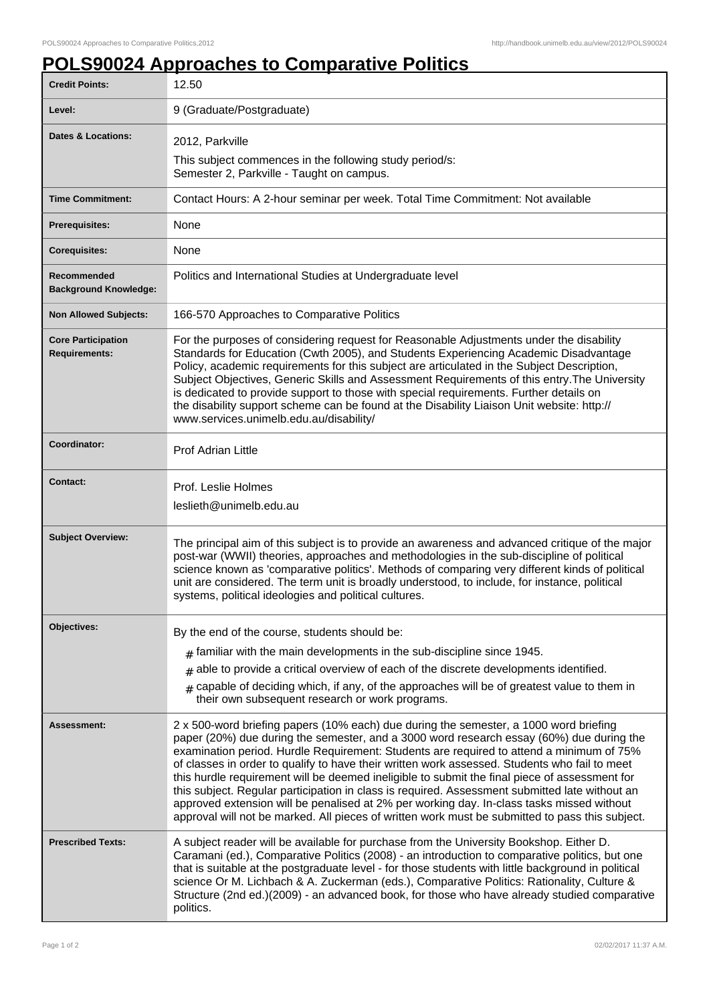## **POLS90024 Approaches to Comparative Politics**

| <b>Credit Points:</b>                             | 12.50                                                                                                                                                                                                                                                                                                                                                                                                                                                                                                                                                                                                                                                                                                                                                                             |
|---------------------------------------------------|-----------------------------------------------------------------------------------------------------------------------------------------------------------------------------------------------------------------------------------------------------------------------------------------------------------------------------------------------------------------------------------------------------------------------------------------------------------------------------------------------------------------------------------------------------------------------------------------------------------------------------------------------------------------------------------------------------------------------------------------------------------------------------------|
| Level:                                            | 9 (Graduate/Postgraduate)                                                                                                                                                                                                                                                                                                                                                                                                                                                                                                                                                                                                                                                                                                                                                         |
| <b>Dates &amp; Locations:</b>                     | 2012, Parkville<br>This subject commences in the following study period/s:<br>Semester 2, Parkville - Taught on campus.                                                                                                                                                                                                                                                                                                                                                                                                                                                                                                                                                                                                                                                           |
| <b>Time Commitment:</b>                           | Contact Hours: A 2-hour seminar per week. Total Time Commitment: Not available                                                                                                                                                                                                                                                                                                                                                                                                                                                                                                                                                                                                                                                                                                    |
| <b>Prerequisites:</b>                             | None                                                                                                                                                                                                                                                                                                                                                                                                                                                                                                                                                                                                                                                                                                                                                                              |
| <b>Corequisites:</b>                              | None                                                                                                                                                                                                                                                                                                                                                                                                                                                                                                                                                                                                                                                                                                                                                                              |
| Recommended<br><b>Background Knowledge:</b>       | Politics and International Studies at Undergraduate level                                                                                                                                                                                                                                                                                                                                                                                                                                                                                                                                                                                                                                                                                                                         |
| <b>Non Allowed Subjects:</b>                      | 166-570 Approaches to Comparative Politics                                                                                                                                                                                                                                                                                                                                                                                                                                                                                                                                                                                                                                                                                                                                        |
| <b>Core Participation</b><br><b>Requirements:</b> | For the purposes of considering request for Reasonable Adjustments under the disability<br>Standards for Education (Cwth 2005), and Students Experiencing Academic Disadvantage<br>Policy, academic requirements for this subject are articulated in the Subject Description,<br>Subject Objectives, Generic Skills and Assessment Requirements of this entry. The University<br>is dedicated to provide support to those with special requirements. Further details on<br>the disability support scheme can be found at the Disability Liaison Unit website: http://<br>www.services.unimelb.edu.au/disability/                                                                                                                                                                  |
| Coordinator:                                      | Prof Adrian Little                                                                                                                                                                                                                                                                                                                                                                                                                                                                                                                                                                                                                                                                                                                                                                |
| <b>Contact:</b>                                   | Prof. Leslie Holmes<br>leslieth@unimelb.edu.au                                                                                                                                                                                                                                                                                                                                                                                                                                                                                                                                                                                                                                                                                                                                    |
| <b>Subject Overview:</b>                          | The principal aim of this subject is to provide an awareness and advanced critique of the major<br>post-war (WWII) theories, approaches and methodologies in the sub-discipline of political<br>science known as 'comparative politics'. Methods of comparing very different kinds of political<br>unit are considered. The term unit is broadly understood, to include, for instance, political<br>systems, political ideologies and political cultures.                                                                                                                                                                                                                                                                                                                         |
| Objectives:                                       | By the end of the course, students should be:<br>$#$ familiar with the main developments in the sub-discipline since 1945.<br>$#$ able to provide a critical overview of each of the discrete developments identified.<br>$#$ capable of deciding which, if any, of the approaches will be of greatest value to them in<br>their own subsequent research or work programs.                                                                                                                                                                                                                                                                                                                                                                                                        |
| Assessment:                                       | 2 x 500-word briefing papers (10% each) due during the semester, a 1000 word briefing<br>paper (20%) due during the semester, and a 3000 word research essay (60%) due during the<br>examination period. Hurdle Requirement: Students are required to attend a minimum of 75%<br>of classes in order to qualify to have their written work assessed. Students who fail to meet<br>this hurdle requirement will be deemed ineligible to submit the final piece of assessment for<br>this subject. Regular participation in class is required. Assessment submitted late without an<br>approved extension will be penalised at 2% per working day. In-class tasks missed without<br>approval will not be marked. All pieces of written work must be submitted to pass this subject. |
| <b>Prescribed Texts:</b>                          | A subject reader will be available for purchase from the University Bookshop. Either D.<br>Caramani (ed.), Comparative Politics (2008) - an introduction to comparative politics, but one<br>that is suitable at the postgraduate level - for those students with little background in political<br>science Or M. Lichbach & A. Zuckerman (eds.), Comparative Politics: Rationality, Culture &<br>Structure (2nd ed.)(2009) - an advanced book, for those who have already studied comparative<br>politics.                                                                                                                                                                                                                                                                       |